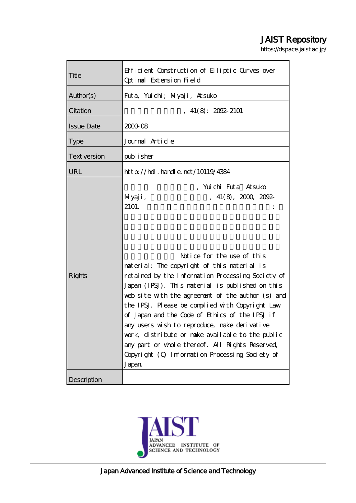# JAIST Repository

https://dspace.jaist.ac.jp/

| Title               | Efficient Construction of Elliptic Curves over<br>Optimal Extension Field                                                                                                                                                                                                                                                                                                                                                                                                                                                                                                                                                       |
|---------------------|---------------------------------------------------------------------------------------------------------------------------------------------------------------------------------------------------------------------------------------------------------------------------------------------------------------------------------------------------------------------------------------------------------------------------------------------------------------------------------------------------------------------------------------------------------------------------------------------------------------------------------|
| Author(s)           | Futa, Yuichi; Miyaji, Atsuko                                                                                                                                                                                                                                                                                                                                                                                                                                                                                                                                                                                                    |
| Citation            | $41(8)$ : 2092-2101                                                                                                                                                                                                                                                                                                                                                                                                                                                                                                                                                                                                             |
| <b>Issue Date</b>   | 2000 08                                                                                                                                                                                                                                                                                                                                                                                                                                                                                                                                                                                                                         |
| <b>Type</b>         | Journal Article                                                                                                                                                                                                                                                                                                                                                                                                                                                                                                                                                                                                                 |
| <b>Text version</b> | publisher                                                                                                                                                                                                                                                                                                                                                                                                                                                                                                                                                                                                                       |
| URL                 | http://hdl.handle.net/10119/4384                                                                                                                                                                                                                                                                                                                                                                                                                                                                                                                                                                                                |
| <b>Rights</b>       | , Yuichi Futa Atsuko<br>$41(8)$ , $2000$ , $2092$<br>MIyaji,<br>2101.<br>Notice for the use of this<br>material: The copyright of this material is<br>retained by the Information Processing Society of<br>Japan (IPSJ). This material is published on this<br>web site with the agreement of the author (s) and<br>the IPSJ. Please be complied with Copyright Law<br>of Japan and the Code of Ethics of the IPSJ if<br>any users wish to reproduce, make derivative<br>work, distribute or make available to the public<br>any part or whole thereof. All Rights Reserved,<br>Copyright (C) Information Processing Society of |
| Description         | Japan                                                                                                                                                                                                                                                                                                                                                                                                                                                                                                                                                                                                                           |

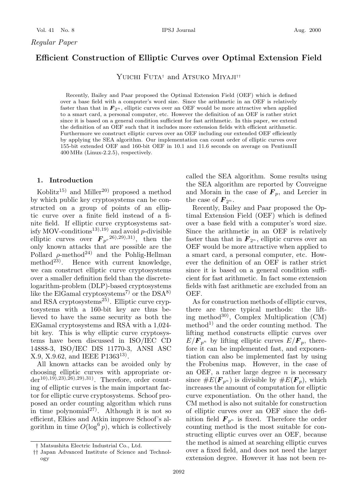#### **Efficient Construction of Elliptic Curves over Optimal Extension Field**

Yuichi Futa*†* and Atsuko Miyaji*††*

Recently, Bailey and Paar proposed the Optimal Extension Field (OEF) which is defined over a base field with a computer's word size. Since the arithmetic in an OEF is relatively faster than that in  $\mathbf{F}_{2^n}$ , elliptic curves over an OEF would be more attractive when applied to a smart card, a personal computer, etc. However the definition of an OEF is rather strict since it is based on a general condition sufficient for fast arithmetic. In this paper, we extend the definition of an OEF such that it includes more extension fields with efficient arithmetic. Furthermore we construct elliptic curves over an OEF including our extended OEF efficiently by applying the SEA algorithm. Our implementation can count order of elliptic curves over 155-bit extended OEF and 160-bit OEF in 10.1 and 11.6 seconds on average on PentiumII 400 MHz (Linux-2.2.5), respectively.

#### **1. Introduction**

Koblitz<sup>15)</sup> and Miller<sup>20)</sup> proposed a method by which public key cryptosystems can be constructed on a group of points of an elliptic curve over a finite field instead of a finite field. If elliptic curve cryptosystems satisfy MOV-conditions<sup>13),19)</sup> and avoid p-divisible elliptic curves over  $\boldsymbol{F}_{p^r}^{(26),29),31}$ , then the only known attacks that are possible are the Pollard  $\rho$ -method<sup>24)</sup> and the Pohlig-Hellman method<sup>23)</sup>. Hence with current knowledge, we can construct elliptic curve cryptosystems over a smaller definition field than the discretelogarithm-problem (DLP)-based cryptosystems like the ElGamal cryptosystems<sup>7)</sup> or the  $\text{DSA}^{8}$ and RSA cryptosystems<sup>25</sup>. Elliptic curve cryptosystems with a 160-bit key are thus believed to have the same security as both the ElGamal cryptosystems and RSA with a 1,024 bit key. This is why elliptic curve cryptosystems have been discussed in ISO/IEC CD 14888-3, ISO/IEC DIS 11770-3, ANSI ASC X.9, X.9.62, and IEEE P1363<sup>13)</sup>.

All known attacks can be avoided only by choosing elliptic curves with appropriate or $der<sup>10</sup>$ ,19,23,26,29,31). Therefore, order counting of elliptic curves is the main important factor for elliptic curve cryptosystems. Schoof proposed an order counting algorithm which runs in time polynomial<sup>27</sup>. Although it is not so efficient, Elkies and Atkin improve Schoof's algorithm in time  $O(\log^6 p)$ , which is collectively

called the SEA algorithm. Some results using the SEA algorithm are reported by Couveigne and Morain in the case of  $\mathbf{F}_p$ , and Lercier in the case of  $\mathbf{F}_{2^n}$ .

Recently, Bailey and Paar proposed the Optimal Extension Field (OEF) which is defined over a base field with a computer's word size. Since the arithmetic in an OEF is relatively faster than that in  $\mathbf{F}_{2^n}$ , elliptic curves over an OEF would be more attractive when applied to a smart card, a personal computer, etc. However the definition of an OEF is rather strict since it is based on a general condition sufficient for fast arithmetic. In fact some extension fields with fast arithmetic are excluded from an OEF.

As for construction methods of elliptic curves, there are three typical methods: the lifting method<sup>30)</sup>, Complex Multiplication  $(CM)$ method<sup>1)</sup> and the order counting method. The lifting method constructs elliptic curves over  $E/F_{p^n}$  by lifting elliptic curves  $E/F_p$ , therefore it can be implemented fast, and exponentiation can also be implemented fast by using the Frobenius map. However, in the case of an OEF, a rather large degree  $n$  is necessary since  $\#E(\mathbf{F}_{p^n})$  is divisible by  $\#E(\mathbf{F}_p)$ , which increases the amount of computation for elliptic curve exponentiation. On the other hand, the CM method is also not suitable for construction of elliptic curves over an OEF since the definition field  $\mathbf{F}_{p^n}$  is fixed. Therefore the order counting method is the most suitable for constructing elliptic curves over an OEF, because the method is aimed at searching elliptic curves over a fixed field, and does not need the larger extension degree. However it has not been re-

<sup>†</sup> Matsushita Electric Industrial Co., Ltd.

<sup>††</sup> Japan Advanced Institute of Science and Technology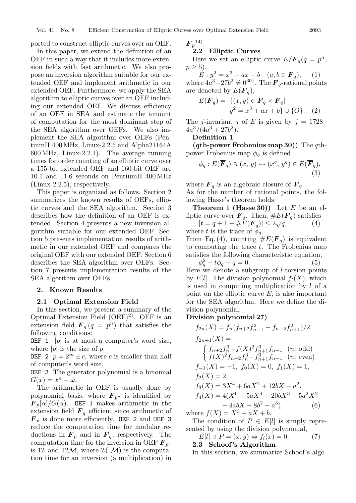ported to construct elliptic curves over an OEF.

In this paper, we extend the definition of an OEF in such a way that it includes more extension fields with fast arithmetic. We also propose an inversion algorithm suitable for our extended OEF and implement arithmetic in our extended OEF. Furthermore, we apply the SEA algorithm to elliptic curves over an OEF including our extended OEF. We discuss efficiency of an OEF in SEA and estimate the amount of computation for the most dominant step of the SEA algorithm over OEFs. We also implement the SEA algorithm over OEFs (PentiumII 400 MHz, Linux-2.2.5 and Alpha21164A  $600 \text{ MHz}$ , Linux-2.2.1). The average running times for order counting of an elliptic curve over a 155-bit extended OEF and 160-bit OEF are 10.1 and 11.6 seconds on PentiumII 400 MHz  $(Linux-2.2.5)$ , respectively.

This paper is organized as follows. Section 2 summarizes the known results of OEFs, elliptic curves and the SEA algorithm. Section 3 describes how the definition of an OEF is extended. Section 4 presents a new inversion algorithm suitable for our extended OEF. Section 5 presents implementation results of arithmetic in our extended OEF and compares the original OEF with our extended OEF. Section 6 describes the SEA algorithm over OEFs. Section 7 presents implementation results of the SEA algorithm over OEFs.

#### **2. Known Results**

#### **2.1 Optimal Extension Field**

In this section, we present a summary of the Optimal Extension Field  $(OEF)^{2}$ . OEF is an extension field  $\mathbf{F}_q(q = p^n)$  that satisfies the following conditions:

OEF 1  $|p|$  is at most a computer's word size, where  $|p|$  is the size of p.

OEF 2  $p = 2^m \pm c$ , where c is smaller than half of computer's word size.

OEF 3 The generator polynomial is a binomial  $G(x) = x^n - \omega$ .

The arithmetic in OEF is usually done by polynomial basis, where  $\mathbf{F}_{p^n}$  is identified by  $\mathbf{F}_p[\alpha]/G(\alpha)$ . OEF 1 makes arithmetic in the extension field  $\boldsymbol{F}_q$  efficient since arithmetic of  $\mathbf{F}_p$  is done more efficiently. OEF 2 and OEF 3 reduce the computation time for modular reductions in  $\mathbf{F}_p$  and in  $\mathbf{F}_q$ , respectively. The computation time for the inversion in OEF  $\boldsymbol{F}_{p^3}$ is 1 $\mathcal I$  and 12 $\mathcal M$ , where  $\mathcal I(M)$  is the computation time for an inversion (a multiplication) in

 $\bm{F}_p^{-14)}.$ 

## **2.2 Elliptic Curves**

Here we set an elliptic curve  $E/F_q(q = p^n)$ ,  $p \geq 5$ ),

 $E: y^2 = x^3 + ax + b \quad (a, b \in \mathbf{F}_q),$  (1) where  $4a^3+27b^2 \neq 0^{30}$ . The  $\mathbf{F}_q$ -rational points are denoted by  $E(\mathbf{F}_q)$ ,<br> $E(\mathbf{F}_q) = \{(x, y) \in$ 

$$
E(\mathbf{F}_q) = \{ (x, y) \in \mathbf{F}_q \times \mathbf{F}_q | y^2 = x^3 + ax + b \} \cup \{ O \}. \quad (2)
$$

The *j*-invariant *j* of *E* is given by  $j = 1728$ .  $4a^3/(4a^3+27b^2)$ .

#### **Definition 1**

**(***q***th-power Frobenius map 30))** The qthpower Frobenius map  $\phi_q$  is defined

$$
\phi_q: E(\overline{\mathbf{F}}_q) \ni (x, y) \mapsto (x^q, y^q) \in E(\overline{\mathbf{F}}_q),
$$
\n(3)

where  $\overline{F}_q$  is an algebraic closure of  $F_q$ .

As for the number of rational points, the following Hasse's theorem holds.

**Theorem 1 (Hasse 30))** Let  $E$  be an elliptic curve over  $\mathbf{F}_q$ . Then,  $\#E(\mathbf{F}_q)$  satisfies<br>  $|t = a + 1 - \#E(\mathbf{F}_q)| \le 2\sqrt{q}$  (4)

 $|t = q + 1 - \#E(\mathbf{F}_q)| \leq 2\sqrt{q},$  $(4)$ where t is the trace of  $\phi_q$ .

From Eq. (4), counting  $\#E(\mathbf{F}_q)$  is equivalent to computing the trace  $t$ . The Frobenius map satisfies the following characteristic equation,

 $\phi_q^2 - t\phi_q + q = 0.$  $q^2 - t\phi_q + q = 0.$  (5)<br>we denote a subgroup of Ltorsion poir Here we denote a subgroup of *l*-torsion points<br>by  $E[l]$ . The division polynomial  $f_i(X)$  which by  $E[l]$ . The division polynomial  $f_l(X)$ , which is used in computing multiplication by l of a point on the elliptic curve  $E$ , is also important for the SEA algorithm. Here we define the division polynomial.

#### **Division polynomial 27)**

$$
f_{2n}(X) = f_n(f_{n+2}f_{n-1}^2 - f_{n-2}f_{n+1}^2)/2
$$
  
\n
$$
f_{2n+1}(X) = \n\begin{cases} \nf_{n+2}f_n^3 - f(X)^2 f_{n+1}^3 f_{n-1} & (n: \text{odd}) \\ \nf(X)^2 f_{n+2}f_n^3 - f_{n+1}^3 f_{n-1} & (n: \text{even}) \n\end{cases}
$$
  
\n
$$
f_{-1}(X) = -1, \ f_0(X) = 0, \ f_1(X) = 1,
$$
  
\n
$$
f_2(X) = 2,
$$
  
\n
$$
f_3(X) = 3X^4 + 6aX^2 + 12bX - a^2,
$$
  
\n
$$
f_4(X) = 4(X^6 + 5aX^4 + 20bX^3 - 5a^2X^2 - 4abX - 8b^2 - a^3), \tag{6}
$$
  
\nhere 
$$
f(X) = X^3 + aX + b
$$

where  $f(X) = X^3 + aX + b$ .<br>The condition of  $P \in E$ 

The condition of  $P \in E[l]$  is simply represented by using the division polynomial,

$$
E[l] \ni P = (x, y) \Leftrightarrow f_l(x) = 0.
$$
 (7)  
**2.3** School's Algorithm

In this section, we summarize Schoof's algo-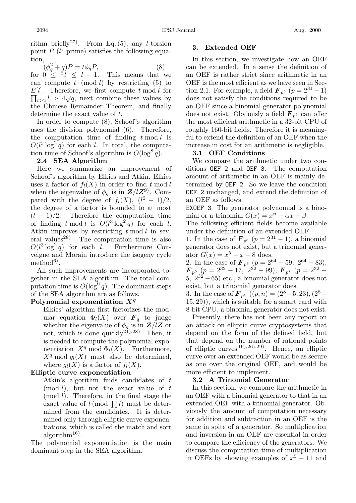rithm briefly<sup>27</sup>. From Eq. (5), any *l*-torsion point  $P$  (l: prime) satisfies the following equation,

 $(\phi_a^2 + q)P = t\phi_q P,$  $q^2 + q$ ) $P = t\phi_q P$ , (8)<br>  $\leq 1/2 + 1$  This means that y for  $0 \leq \frac{1}{2}t \leq l-1$ . This means that we<br>can compute t (mod l) by restricting (5) to can compute  $t \pmod{l}$  by restricting (5) to  $\prod_{l\geq2} l > 4\sqrt{q}$ , next combine these values by<br>the Chinese Remainder Theorem, and finally  $E[l]$ . Therefore, we first compute t mod l for the Chinese Remainder Theorem, and finally determine the exact value of t.

In order to compute (8), Schoof's algorithm uses the division polynomial (6). Therefore, the computation time of finding  $t \mod l$  is  $O(l^5 \log^2 q)$  for each l. In total, the computa-<br>tion time of Schoof's algorithm is  $O(\log^8 q)$ tion time of Schoof's algorithm is  $O(\log^8 q)$ .

#### **2.4 SEA Algorithm**

Here we summarize an improvement of Schoof's algorithm by Elkies and Atkin. Elkies uses a factor of  $f_l(X)$  in order to find t mod l when the eigenvalue of  $\phi_q$  is in  $\mathbf{Z}/l\mathbf{Z}^{(9)}$ . Compared with the degree of  $f_l(X)$ ,  $(l^2 - 1)/2$ ,<br>the degree of a factor is bounded to at most the degree of a factor is bounded to at most  $(l-1)/2$ . Therefore the computation time of finding  $t \mod l$  is  $O(l^3 \log^2 q)$  for each  $l$ .<br>Atkin improves by restricting  $t \mod l$  in sev-Atkin improves by restricting  $t \mod l$  in several values<sup>28)</sup>. The computation time is also  $O(l^3 \log^2 q)$  for each l. Furthermore Cou-<br>veigne and Morain introduce the isogeny cycle veigne and Morain introduce the isogeny cycle  $\rm{method}^{6)}$  .

All such improvements are incorporated together in the SEA algorithm. The total computation time is  $O(\log^6 q)$ . The dominant steps of the SEA algorithm are as follows.

#### **Polynomial exponentiation** *X<sup>q</sup>*

Elkies' algorithm first factorizes the modular equation  $\Phi_l(X)$  over  $\mathbf{F}_q$  to judge whether the eigenvalue of  $\phi_q$  is in  $\mathbf{Z}/l\mathbf{Z}$  or not, which is done quickly<sup>21</sup>),<sup>28</sup>). Then, it is needed to compute the polynomial exponentiation  $X^q$  mod  $\Phi_l(X)$ . Furthermore,  $X^q \mod q_l(X)$  must also be determined, where  $g_l(X)$  is a factor of  $f_l(X)$ .

#### **Elliptic curve exponentiation**

Atkin's algorithm finds candidates of t (mod l), but not the exact value of  $t$  $(mod l)$ . Therefore, in the final stage the exact value of  $t \pmod{\prod l}$  must be deter-<br>mined from the candidates It is determined from the candidates. It is determined only through elliptic curve exponentiations,which is called the match and sort algorithm<sup>16)</sup>.

The polynomial exponentiation is the main dominant step in the SEA algorithm.

#### **3. Extended OEF**

In this section, we investigate how an OEF can be extended. In a sense the definition of an OEF is rather strict since arithmetic in an OEF is the most efficient as we have seen in Section 2.1. For example, a field  $F_{p^5}$  ( $p = 2^{31} - 1$ ) does not satisfy the conditions required to be an OEF since a binomial generator polynomial does not exist. Obviously a field  $\mathbf{F}_{p^5}$  can offer the most efficient arithmetic in a 32-bit CPU of roughly 160-bit fields. Therefore it is meaningful to extend the definition of an OEF when the increase in cost for an arithmetic is negligible.

#### **3.1 OEF Conditions**

We compare the arithmetic under two conditions OEF 2 and OEF 3. The computation amount of arithmetic in an OEF is mainly determined by OEF 2. So we leave the condition OEF 2 unchanged,and extend the definition of an OEF as follows:

EXOEF 3 The generator polynomial is a binomial or a trinomial  $G(x) = x^n - \alpha x - \beta$ .

The following efficient fields become available under the definition of an extended OEF:

1. In the case of  $\mathbf{F}_{p^5}$  ( $p = 2^{31} - 1$ ), a binomial generator does not exist, but a trinomial generator  $G(x) = x^5 - x - 8$  does.

2. In the case of  $\mathbf{F}_{p^3}$  ( $p = 2^{64} - 59$ ,  $2^{64} - 83$ ),<br> $\mathbf{F}_{p^5}$  ( $n = 2^{32} - 17$ ,  $2^{32} - 99$ ),  $\mathbf{F}_{p^5}$  ( $n = 2^{32} - 17$  $F_{p^5}$  ( $p = 2^{32} - 17$ ,  $2^{32} - 99$ ),  $F_{p^7}$  ( $p = 2^{32} - 5$ ,  $2^{32} - 65$ ) etc. a binomial generator does not  $5, 2^{32} - 65$ ) etc., a binomial generator does not exist, but a trinomial generator does.

3. In the case of  $\mathbf{F}_{p^n}$  ((p, n) =  $(2^8-5, 23)$ ,  $(2^8-5, 23)$  $(15, 29)$ , which is suitable for a smart card with 8-bit CPU, a binomial generator does not exist.

Presently, there has not been any report on an attack on elliptic curve cryptosystems that depend on the form of the defined field, but that depend on the number of rational points of elliptic curves  $(19)$ ,  $26)$ ,  $29)$ . Hence, an elliptic curve over an extended OEF would be as secure as one over the original OEF, and would be more efficient to implement.

#### **3.2 A Trinomial Generator**

In this section, we compare the arithmetic in an OEF with a binomial generator to that in an extended OEF with a trinomial generator. Obviously the amount of computation necessary for addition and subtraction in an OEF is the same in spite of a generator. So multiplication and inversion in an OEF are essential in order to compare the efficiency of the generators. We discuss the computation time of multiplication in OEFs by showing examples of  $x^5 - 11$  and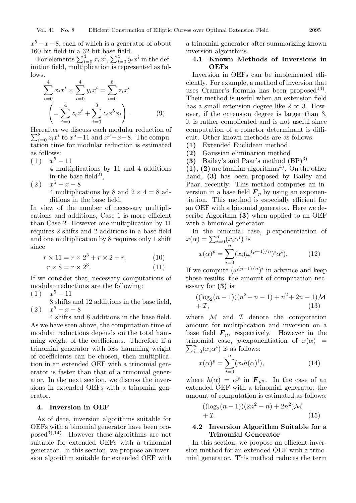$x^5 - x - 8$ , each of which is a generator of about 160-bit field in a 32-bit base field.

For elements  $\sum_{i=0}^{4} x_i x^i$ ,  $\sum_{i=0}^{4} y_i x^i$  in the def-<br>ition field, multiplication is represented as folinition field, multiplication is represented as follows.

$$
\sum_{i=0}^{4} x_i x^i \times \sum_{i=0}^{4} y_i x^i = \sum_{i=0}^{8} z_i x^i
$$

$$
\left( = \sum_{i=0}^{4} z_i x^i + \sum_{i=0}^{3} z_i x^5 x_i \right).
$$
(9)

Hereafter we discuss each modular reduction of  $\sum_{i=0}^{8} z_i x^i$  to  $x^5 - 11$  and  $x^5 - x - 8$ . The computation is estimated tation time for modular reduction is estimated as follows:

- $(1)$   $x^5 11$ 4 multiplications by 11 and 4 additions in the base field<sup>2)</sup>,
- $(2)$   $x^5 x 8$ 4 multiplications by 8 and  $2 \times 4 = 8$  ad-

ditions in the base field.

In view of the number of necessary multiplications and additions,Case 1 is more efficient than Case 2. However one multiplication by 11 requires 2 shifts and 2 additions in a base field and one multiplication by 8 requires only 1 shift since

$$
r \times 11 = r \times 2^3 + r \times 2 + r,\tag{10}
$$

$$
r \times 8 = r \times 2^3. \tag{11}
$$

If we consider that, necessary computations of modular reductions are the following:

 $(1)$   $x^5 - 11$ 

8 shifts and 12 additions in the base field,  $(2)$   $x^5 - x - 8$ 

4 shifts and 8 additions in the base field. As we have seen above, the computation time of modular reductions depends on the total hamming weight of the coefficients. Therefore if a trinomial generator with less hamming weight of coefficients can be chosen, then multiplication in an extended OEF with a trinomial generator is faster than that of a trinomial generator. In the next section, we discuss the inversions in extended OEFs with a trinomial generator.

#### **4. Inversion in OEF**

As of date, inversion algorithms suitable for OEFs with a binomial generator have been pro $posed^{3}, 14$ . However these algorithms are not suitable for extended OEFs with a trinomial generator. In this section, we propose an inversion algorithm suitable for extended OEF with

a trinomial generator after summarizing known inversion algorithms.

#### **4.1 Known Methods of Inversions in OEFs**

Inversion in OEFs can be implemented efficiently. For example,a method of inversion that uses Cramer's formula has been proposed<sup>14)</sup>. Their method is useful when an extension field has a small extension degree like 2 or 3. However, if the extension degree is larger than 3, it is rather complicated and is not useful since computation of a cofactor determinant is difficult. Other known methods are as follows.

- **(1)** Extended Euclidean method
- **(2)** Gaussian elimination method
- **(3)** Bailey's and Paar's method (BP)3)

 $(1), (2)$  are familiar algorithms<sup>4)</sup>. On the other hand, **(3)** has been proposed by Bailey and Paar, recently. This method computes an inversion in a base field  $\mathbf{F}_p$  by using an exponentiation. This method is especially efficient for an OEF with a binomial generator. Here we describe Algorithm **(3)** when applied to an OEF with a binomial generator.

In the binomial case, p-exponentiation of  $x(\alpha) = \sum_{i=0}^{n} (x_i \alpha^i)$  is

$$
x(\alpha)^p = \sum_{i=0}^n (x_i(\omega^{(p-1)/n})^i \alpha^i).
$$
 (12)

If we compute  $(\omega^{(p-1)/n})^i$  in advance and keep those results, the amount of computation necessary for **(3)** is

$$
((\log_2(n-1))(n^2 + n - 1) + n^2 + 2n - 1)\mathcal{M} + \mathcal{I},
$$
\n(13)

where  $\mathcal M$  and  $\mathcal I$  denote the computation amount for multiplication and inversion on a base field  $\mathbf{F}_p$ , respectively. However in the  $\sum_{i=0}^{n} (x_i \alpha^i)$  is as follows: trinomial case, *p*-exponentiation of  $x(\alpha)$  =

$$
x(\alpha)^p = \sum_{i=0}^n (x_i h(\alpha)^i), \qquad (14)
$$

where  $h(\alpha) = \alpha^p$  in  $\mathbf{F}_{p^n}$ . In the case of an extended OEF with a trinomial generator, the amount of computation is estimated as follows:

$$
((\log_2(n-1))(2n^2 - n) + 2n^2)\mathcal{M} + \mathcal{I}.
$$
 (15)

#### **4.2 Inversion Algorithm Suitable for a Trinomial Generator**

In this section, we propose an efficient inversion method for an extended OEF with a trinomial generator. This method reduces the term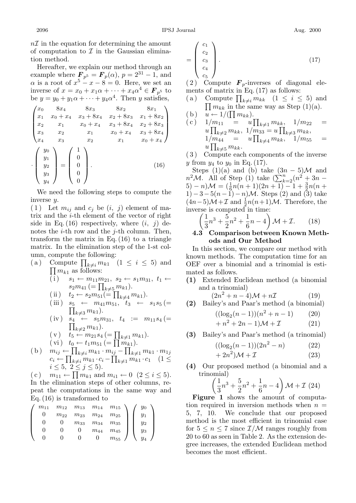$n\mathcal{I}$  in the equation for determining the amount of computation to  $\mathcal I$  in the Gaussian elimination method.

Hereafter, we explain our method through an example where  $\mathbf{F}_{p^5} = \mathbf{F}_p(\alpha)$ ,  $p = 2^{31} - 1$ , and  $\alpha$  is a root of  $r^5 - r - 8 = 0$ . Here we set an  $\alpha$  is a root of  $x^5 - x - 8 = 0$ . Here, we set an inverse of  $x = x_0 + x_1\alpha + \cdots + x_{\ell}\alpha^4 \in \mathbf{F}$  is to inverse of  $x = x_0 + x_1\alpha + \cdots + x_4\alpha^4 \in \mathbf{F}_{p^5}$  to be  $y = y_0 + y_1 \alpha + \cdots + y_4 \alpha^4$ . Then y satisfies,

$$
\begin{pmatrix}\nx_0 & 8x_4 & 8x_3 & 8x_2 & 8x_1 \\
x_1 & x_0 + x_4 & x_3 + 8x_4 & x_2 + 8x_3 & x_1 + 8x_2 \\
x_2 & x_1 & x_0 + x_4 & x_3 + 8x_4 & x_2 + 8x_3 \\
x_3 & x_2 & x_1 & x_0 + x_4 & x_3 + 8x_4 \\
x_4 & x_3 & x_2 & x_1 & x_0 + x_4\n\end{pmatrix}
$$
\n
$$
\cdot \begin{pmatrix}\ny_0 \\
y_1 \\
y_2 \\
y_3 \\
y_4\n\end{pmatrix} = \begin{pmatrix}\n1 \\
0 \\
0 \\
0 \\
0\n\end{pmatrix}.
$$
\n(16)

We need the following steps to compute the inverse y.

 $(1)$  Let  $m_{ij}$  and  $c_j$  be  $(i, j)$  element of matrix and the i-th element of the vector of right side in Eq. (16) respectively, where  $(i, j)$  denotes the *i*-th row and the *j*-th column. Then, transform the matrix in Eq. (16) to a triangle matrix. In the elimination step of the 1-st column,compute the following:

 $(a)$  Compute  $\prod$ Compute  $\prod_{k \neq i} m_{k1}$   $(1 \leq i \leq 5)$  and  $\prod m_{k1}$  as follows:  $m_{k1}$  as follows:<br> $\sum_{s_1}$   $\leftarrow$   $m_{11}$  $m_{12}$ 

(i) 
$$
s_1 \leftarrow m_{11}m_{21}, s_2 \leftarrow s_1m_{31}, t_1 \leftarrow
$$
  
\n $s_2m_{41} (= \prod_{k \neq 5} m_{k1}).$   
\n(ii)  $t_2 \leftarrow s_2m_{51}(-\prod_{k \neq 5} m_{k1})$ 

- (ii)  $t_2 \leftarrow s_2 m_{51} (= \prod_{k \neq 4} m_{k1}).$ <br>(iii)  $s_5 \leftarrow m_{41} m_{51} t_2 \leftarrow ...$
- (iii)  $s_5 \leftarrow m_{41} m_{51}, \quad t_3 \leftarrow s_1 s_5 (=$ <br> $\prod_{m_{1,1}} m_{m_{1,2}}$  $\prod_{k\neq 3} m_{k1}$ .
- $(iv)$   $s_4 \leftarrow s_5 m_{31}, t_4 := m_{11} s_4 (=$ <br> $\prod_{i=1}^m m_{i1}$  $\prod_{k\neq 2} m_{k1}$ .

$$
\begin{array}{ll} (v) & t_5 \leftarrow m_{21} s_4 \ (= \prod_{k \neq 1} m_{k1}).\\ (vi) & t_2 \leftarrow t_1 m_{51} \ (= \prod_{k \neq 1} m_{k1}). \end{array}
$$

$$
\begin{array}{ll}\n\text{(vi)} & t_0 \leftarrow t_1 m_{51} \left( = \prod m_{k1} \right). \\
\hline\nm_{ij} \leftarrow \prod_{i=1}^m m_{ij} \cdot m_{ij} = \prod_{i=1}^m n_{ij}.\n\end{array}
$$

 $\left( \begin{array}{ll} (b) & m_{ij} \leftarrow \prod_{k \neq i} m_{k1} \cdot m_{ij} - \prod_{k \neq 1} m_{k1} \cdot m_{1j} \ & c_i \leftarrow \prod_{k \neq j} m_{k1} \cdot c_i - \prod_{k \neq j} m_{k1} \cdot c_i \end{array} \right)$  $c_i \leftarrow \prod_{k \neq i} m_{k1} \cdot c_i - \prod_{k \neq 1} m_{k1} \cdot c_1 \quad (1 \leq$  $i \leq 5, 2 \leq j \leq 5$ ).<br> $m_{11} \leftarrow \prod m_{11}$  and

(c)  $m_{11} \leftarrow \prod m_{k1}$  and  $m_{i1} \leftarrow 0$  ( $2 \leq i \leq 5$ ).<br>In the elimination steps of other columns re-In the elimination steps of other columns, repeat the computations in the same way and Eq. (16) is transformed to

$$
\left(\begin{array}{cccc} m_{11} & m_{12} & m_{13} & m_{14} & m_{15} \\ 0 & m_{22} & m_{23} & m_{24} & m_{25} \\ 0 & 0 & m_{33} & m_{34} & m_{35} \\ 0 & 0 & 0 & m_{44} & m_{45} \\ 0 & 0 & 0 & 0 & m_{55} \end{array}\right) \left(\begin{array}{c} y_0 \\ y_1 \\ y_2 \\ y_3 \\ y_4 \end{array}\right)
$$

$$
=\begin{pmatrix} c_1 \\ c_2 \\ c_3 \\ c_4 \\ c_5 \end{pmatrix}.
$$
 (17)

 $(2)$  Compute  $\mathbf{F}_p$ -inverses of diagonal elements of matrix in Eq. (17) as follows:

- (a) Compute  $\prod_{k\neq i} m_{kk}$   $(1 \leq i \leq 5)$  and  $\prod_{k\neq i} m_{kk}$  in the same way as Step  $(1)(s)$  $\prod_{u} m_{kk}$  in the same way as Step (1)(a).
- (b)  $u \leftarrow 1/(\prod m_{kk})$ .<br>(c)  $1/m_{11} = u$ (c)  $1/m_{11} = u \prod_{k \neq 1} m_{kk}, \quad 1/m_{22} = u \prod_{k \neq 1} m_{kk}$  $u\prod_{k\neq 2}m_{kk}, \quad 1/m_{33} = u\prod_{k\neq 3}m_{kk}, \quad 1/m_{44} = u\prod_{k\neq 4}m_{kk}, \quad 1/m_{55} = u\prod_{k\neq 4}m_{kk}$  $\prod_{k\neq 2} m_{kk}, \; 1/m_{33} = u \prod_{m \neq 1}$  $\prod_{k\neq 5} m_{kk}$ .<br>
pmpute eac

 $(3)$  Compute each components of the inverse

y from  $y_4$  to  $y_0$  in Eq. (17).<br>Steps (1)(a) and (b) take  $(3n - 5)$ *M* and Steps (1)(a) and (b) take  $(3n-5)$ *M* and<br> $M$  All of Step (1) take  $(\sum_{n=1}^{n} (n^2 + 3n$  $n^2\mathcal{M}$ . All of Step (1) take  $(\sum_{k=2}^n (n^2 + 3n - 5) - n)\mathcal{M} = (\frac{1}{2}n(n+1)(2n+1) - 1 + \frac{3}{2}n(n+1))$  $(5) - n$ ) $\mathcal{M} = (\frac{1}{6}n(n+1)(2n+1) - 1 + \frac{3}{2}n(n+1) - 3 - 5(n-1) - n)$  $\mathcal{M}$  Steps (2) and (3) take  $1) - 3 - 5(n-1) - n$ . Steps (2) and (3) take  $(4n-5)\mathcal{M}+ \mathcal{I}$  and  $\frac{1}{2}n(n+1)\mathcal{M}$ . Therefore, the inverse is computed in time:

$$
\left(\frac{1}{3}n^3 + \frac{5}{2}n^2 + \frac{1}{6}n - 4\right)M + \mathcal{I}.\tag{18}
$$

#### **4.3 Comparison between Known Methods and Our Method**

In this section, we compare our method with known methods. The computation time for an OEF over a binomial and a trinomial is estimated as follows.

**(1)** Extended Euclidean method (a binomial and a trinomial)

(2n<sup>2</sup> <sup>+</sup> n <sup>−</sup> 4)<sup>M</sup> <sup>+</sup> n<sup>I</sup> (19) **(2)** Bailey's and Paar's method (a binomial)

$$
((\log_2(n-1))(n^2 + n - 1) \tag{20}
$$

$$
+ n2 + 2n - 1)\mathcal{M} + \mathcal{I}
$$
 (21)

**(3)** Bailey's and Paar's method (a trinomial)

$$
((\log_2(n-1))(2n^2 - n) \tag{22}
$$
  
+ 2n<sup>2</sup>) $\mathcal{M} + \mathcal{I}$  (23)

**(4)** Our proposed method (a binomial and a trinomial)

$$
\left(\frac{1}{3}n^3 + \frac{5}{2}n^2 + \frac{1}{6}n - 4\right)\mathcal{M} + \mathcal{I}
$$
 (24)

**Figure 1** shows the amount of computation required in inversion methods when  $n =$ <sup>5</sup>, <sup>7</sup>, 10. We conclude that our proposed method is the most efficient in trinomial case for  $5 \leq n \leq 7$  since  $\mathcal{I}/\mathcal{M}$  ranges roughly from 20 to 60 as seen in Table 2. As the extension degree increases, the extended Euclidean method becomes the most efficient.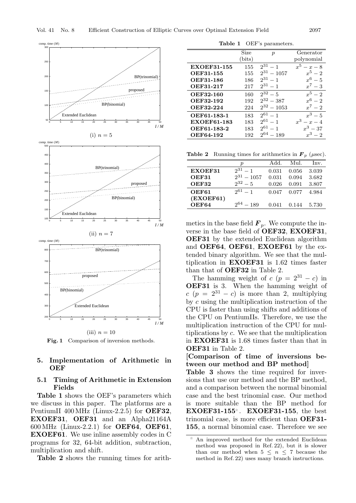

**Fig. 1** Comparison of inversion methods.

#### **5. Implementation of Arithmetic in OEF**

#### **5.1 Timing of Arithmetic in Extension Fields**

**Table 1** shows the OEF's parameters which we discuss in this paper. The platforms are a PentiumII 400 MHz (Linux-2.2.5) for **OEF32**, **EXOEF31**, **OEF31** and an Alpha21164A 600 MHz (Linux-2.2.1) for **OEF64**, **OEF61**, **EXOEF61**. We use inline assembly codes in C programs for 32, 64-bit addition, subtraction, multiplication and shift.

**Table 2** shows the running times for arith-

**Table 1** OEF's parameters.

|                    | Size            | $\boldsymbol{p}$ | Generator       |
|--------------------|-----------------|------------------|-----------------|
|                    | $_{\rm (bits)}$ |                  | polynomial      |
|                    |                 |                  |                 |
| <b>EXOEF31-155</b> | 155             | $2^{31} - 1$     | $x^5$<br>$-x-8$ |
| OEF31-155          | 155             | 231<br>$-1057$   | $x^5-2$         |
| <b>OEF31-186</b>   | 186             | $2^{31} - 1$     | $x^6-5$         |
| <b>OEF31-217</b>   | 217             | $2^{31} - 1$     | $x^7-3$         |
| <b>OEF32-160</b>   | 160             | $2^{32} - 5$     | $x^5-2$         |
| <b>OEF32-192</b>   | 192             | $2^{32} - 387$   | $x^6 - 2$       |
| <b>OEF32-224</b>   | 224             | $2^{32} - 1053$  | $x^7-2$         |
| OEF61-183-1        | 183             | $2^{61} - 1$     | $x^3 - 5$       |
| <b>EXOEF61-183</b> | 183             | $2^{61} - 1$     | $x^3$<br>$-x-4$ |
| OEF61-183-2        | 183             | $2^{61} - 1$     | $x^3 - 37$      |
| OEF64-192          | 192             | $2^{64} - 189$   | $x^3-2$         |
|                    |                 |                  |                 |

**Table 2** Running times for arithmetics in  $\mathbf{F}_p$  ( $\mu$ sec).

|                    | р               | Add.  | Mul.  | Inv.  |
|--------------------|-----------------|-------|-------|-------|
| EXOEF31            | $2^{31} - 1$    | 0.031 | 0.056 | 3.039 |
| OEF31              | $2^{31} - 1057$ | 0.031 | 0.094 | 3.682 |
| <b>OEF32</b>       | $2^{32} - 5$    | 0.026 | 0.091 | 3.807 |
| OEF61              | $2^{61} - 1$    | 0.047 | 0.077 | 4.984 |
| (EXOEF61)<br>OEF64 | $2^{64} - 189$  | 0.041 | 0.144 | 5.730 |
|                    |                 |       |       |       |

metics in the base field  $\boldsymbol{F}_p$ . We compute the inverse in the base field of **OEF32**, **EXOEF31**, **OEF31** by the extended Euclidean algorithm and **OEF64**, **OEF61**, **EXOEF61** by the extended binary algorithm. We see that the multiplication in **EXOEF31** is 1.62 times faster than that of **OEF32** in Table 2.

The hamming weight of  $c$  ( $p = 2^{31} - c$ ) in **OEF31** is 3. When the hamming weight of  $c$  ( $p = 2^{31} - c$ ) is more than 2, multiplying by c using the multiplication instruction of the CPU is faster than using shifts and additions of the CPU on PentiumIIs. Therefore, we use the multiplication instruction of the CPU for multiplications by c. We see that the multiplication in **EXOEF31** is 1.68 times faster than that in **OEF31** in Table 2.

#### **[Comparison of time of inversions between our method and BP method]**

**Table 3** shows the time required for inversions that use our method and the BP method, and a comparison between the normal binomial case and the best trinomial case. Our method is more suitable than the BP method for **EXOEF31-155** . **EXOEF31-155**, the best trinomial case, is more efficient than **OEF31**-**155**, a normal binomial case. Therefore we see

An improved method for the extended Euclidean method was proposed in Ref. 22), but it is slower than our method when  $5 \leq n \leq 7$  because the method in Ref. 22) uses many branch instructions.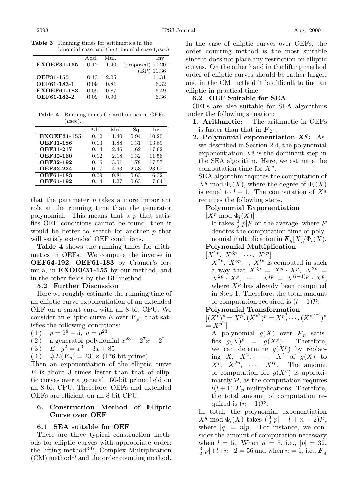|                    | Add. | Mul. | nv.                |
|--------------------|------|------|--------------------|
| <b>EXOEF31-155</b> | 0.12 | 1.40 | (proposed) $10.20$ |
|                    |      |      | (BP)<br>11.36      |
| OEF31-155          | 0.13 | 2.05 | 11.31              |
| OEF61-183-1        | 0.09 | 0.81 | 6.32               |
| <b>EXOEF61-183</b> | 0.09 | 0.87 | 6.49               |
| OEF61-183-2        | 0.09 | 0.90 | 6.36               |
|                    |      |      |                    |

**Table 3** Running times for arithmetics in the binomial case and the trinomial case (*µ*sec).

**Table 4** Running times for arithmetics in OEFs  $(\mu \sec).$ 

|                    | Add. | Mul. | Sq.  | Inv.  |
|--------------------|------|------|------|-------|
| <b>EXOEF31-155</b> | 0.12 | 1.40 | 0.94 | 10.20 |
| OEF31-186          | 0.13 | 1.88 | 1.31 | 13.69 |
| OEF31-217          | 0.14 | 2.46 | 1.62 | 17.62 |
| <b>OEF32-160</b>   | 0.12 | 2.18 | 1.32 | 11.56 |
| <b>OEF32-192</b>   | 0.16 | 3.01 | 1.78 | 17.57 |
| OEF32-224          | 0.17 | 4.63 | 2.53 | 23.67 |
| <b>OEF61-183</b>   | 0.09 | 0.81 | 0.63 | 6.32  |
| <b>OEF64-192</b>   | 0.14 | 1.27 | 0.63 | 7.64  |

that the parameter  $p$  takes a more important role at the running time than the generator polynomial. This means that a p that satisfies OEF conditions cannot be found, then it would be better to search for another p that will satisfy extended OEF conditions.

**Table 4** shows the running times for arithmetics in OEFs. We compute the inverse in **OEF64-192**, **OEF61-183** by Cramer's formula, in **EXOEF31-155** by our method, and in the other fields by the BP method.

#### **5.2 Further Discussion**

Here we roughly estimate the running time of an elliptic curve exponentiation of an extended OEF on a smart card with an 8-bit CPU. We consider an elliptic curve E over  $\mathbf{F}_{p^n}$  that satisfies the following conditions:

(1)  $p = 2^8 - 5$ ,  $q = p^{23}$ 

(2) a generator polynomial 
$$
x^{23} - 2^7x - 2^2
$$
  
(3)  $F: y^2 = x^3 - 3x + 85$ 

(3) 
$$
E: y^2 = x^3 - 3x + 85
$$
  
(4)  $\#E(\mathbf{F}_n) = 231 \times (176 \text{-}bit \text{ prime})$ 

(4)  $\#E(\mathbf{F}_p) = 231 \times (176 \text{-} \text{bit prime})$ <br>Then an exponentiation of the elliptic curve  $E$  is about 3 times faster than that of elliptic curves over a general 160-bit prime field on an 8-bit CPU. Therefore, OEFs and extended OEFs are efficient on an 8-bit CPU.

#### **6. Construction Method of Elliptic Curve over OEF**

#### **6.1 SEA suitable for OEF**

There are three typical construction methods for elliptic curves with appropriate order: the lifting method<sup>30)</sup>, Complex Multiplication  $(CM)$  method<sup>1)</sup> and the order counting method.

In the case of elliptic curves over OEFs, the order counting method is the most suitable since it does not place any restriction on elliptic curves. On the other hand in the lifting method order of elliptic curves should be rather larger, and in the CM method it is difficult to find an elliptic in practical time.

#### **6.2 OEF Suitable for SEA**

OEFs are also suitable for SEA algorithms under the following situation:

- **1. Arithmetic:** The arithmetic in OEFs is faster than that in  $\mathbf{F}_{2^n}$ .
- **2. Polynomial exponentiation** *Xq***:** As we described in Section 2.4, the polynomial exponentiation  $X^q$  is the dominant step in the SEA algorithm. Here, we estimate the computation time for <sup>X</sup>*q*.

SEA algorithm requires the computation of  $X^q$  mod  $\Phi_l(X)$ , where the degree of  $\Phi_l(X)$ is equal to  $l + 1$ . The computation of  $X<sup>q</sup>$ requires the following steps.

#### **Polynomial Exponentiation**

#### $[X^p \mod{\Phi_l(X)}]$

It takes  $\frac{3}{2}|\vec{p}|\hat{\mathcal{P}}$  on the average, where  $\hat{\mathcal{P}}$ <br>denotes the computation time of polydenotes the computation time of polynomial multiplication in  $\mathbf{F}_q[X]/\Phi_l(X)$ .

### **Polynomial Multiplication**

 $\begin{bmatrix} X^{2p}, X^{3p}, & \cdots, X^{lp} \\ X^{2p} & X^{3p} \end{bmatrix}$ 

 $X^{2p}$ ,  $X^{3p}$ ,  $\cdot$ ,  $X^{lp}$  is computed in such<br>a way that  $X^{2p}$  –  $X^p$ ,  $X^p$ ,  $X^{3p}$  – a way that  $X^{2p} = X^p \cdot X^p$ ,  $X^{3p} = X^{2p} \cdot X^p$  ...  $X^{lp} = X^{(l-1)p} \cdot X^p$  $X^{2p} \cdot X^p$ ,  $\cdots$ ,  $X^{lp} = X^{(l-1)p} \cdot X^p$ ,<br>where  $X^p$  has already been computed where  $X^p$  has already been computed in Step 1. Therefore, the total amount of computation required is  $(l-1)\mathcal{P}$ .

#### **Polynomial Transformation**

$$
[(X^p)^p = X^{p^2}, (X^{p^2})^p = X^{p^3}, \cdots, (X^{p^{n-1}})^p
$$
  
=  $X^{p^n}$ ]  
A polynomial  $q(X)$  over **F**<sub>u</sub> satisfies

A polynomial  $g(X)$  over  $\mathbf{F}_p$  satis-<br>fies  $g(X)^p = g(X^p)$  Therefore fies  $g(X)^p = g(X^p)$ . Therefore, we can determine  $g(X^p)$  by replacing X,  $X^2$ ,  $\cdots$ ,  $X^l$  of  $g(X)$  to  $X^p$ ,  $X^{2p}$ ,  $\cdots$ ,  $X^{lp}$ . The amount of computation for  $g(X^q)$  is approximately  $P$ , as the computation requires  $l(l + 1)$   $\mathbf{F}_p$ -multiplications. Therefore, the total amount of computation required is  $(n-1)\mathcal{P}$ .

In total, the polynomial exponentiation  $X^q \mod \Phi_l(X)$  takes  $(\frac{3}{2}|p| + l + n - 2)\mathcal{P}$ ,<br>where  $|p| = |p|$  For instance we conwhere  $|q| = n|p|$ . For instance, we consider the amount of computation necessary when  $l = 5$ . When  $n = 5$ , i.e.,  $|p| = 32$ ,  $\frac{3}{2}|p|+l+n-2=56$  and when  $n=1$ , i.e.,  $\mathbf{F}_q$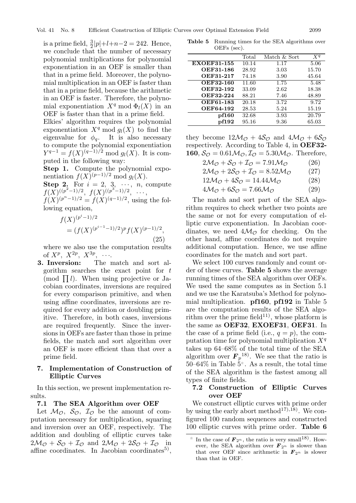is a prime field,  $\frac{3}{2}|p|+l+n-2=242$ . Hence,<br>we conclude that the number of necessary we conclude that the number of necessary polynomial multiplications for polynomial exponentiation in an OEF is smaller than that in a prime field. Moreover, the polynomial multiplication in an OEF is faster than that in a prime field, because the arithmetic in an OEF is faster. Therefore, the polynomial exponentiation  $X^q$  mod  $\Phi_l(X)$  in an OEF is faster than that in a prime field.

Elkies' algorithm requires the polynomial exponentiation  $X^q$  mod  $g_l(X)$  to find the eigenvalue for  $\phi_q$ . It is also necessary to compute the polynomial exponentiation  $Y^{q-1} = f(X)^{(q-1)/2} \text{ mod } g_l(X)$ . It is computed in the following way:

**Step 1.** Compute the polynomial exponentiation  $f(X)^{(p-1)/2} \mod g_l(X)$ .<br>Step 2. For  $i = 2, 3, \ldots, n$ 

**Step 2.** For  $i = 2, 3, \dots, n$ , compute  $f(X)((p^2-1)/2 - f(X)((p^3-1)/2 - \dots$  $f(X)^{((p^2-1)/2}, f(X)^{((p^3-1)/2}, \dots, f(X)^{(p^n-1)/2} = f(X)^{(q-1)/2}$  using

 $f(X)^{(p^n-1)/2} = f(X)^{(q-1)/2}$ , using the following equation,

$$
f(X)^{(p^i-1)/2}
$$
  
=  $(f(X)^{(p^{i-1}-1)/2})^p f(X)^{(p-1)/2}$ , (25)

where we also use the computation results of  $X^p$ ,  $X^{2p}$ ,  $X^{3p}$ ,  $\cdots$ .<br>3. **Inversion:** The n

**3. Inversion:** The match and sort algorithm searches the exact point for t (mod  $\prod_l$ ). When using projective or Ja-<br>cobian coordinates inversions are required cobian coordinates, inversions are required for every comparison primitive, and when using affine coordinates, inversions are required for every addition or doubling primitive. Therefore, in both cases, inversions are required frequently. Since the inversions in OEFs are faster than those in prime fields, the match and sort algorithm over an OEF is more efficient than that over a prime field.

#### **7. Implementation of Construction of Elliptic Curves**

In this section, we present implementation results.

#### **7.1 The SEA Algorithm over OEF**

Let  $\mathcal{M}_{\mathcal{O}},$   $\mathcal{S}_{\mathcal{O}},$   $\mathcal{I}_{\mathcal{O}}$  be the amount of computation necessary for multiplication, squaring and inversion over an OEF, respectively. The addition and doubling of elliptic curves take  $2\mathcal{M}_{\mathcal{O}} + \mathcal{S}_{\mathcal{O}} + \mathcal{I}_{\mathcal{O}}$  and  $2\mathcal{M}_{\mathcal{O}} + 2\mathcal{S}_{\mathcal{O}} + \mathcal{I}_{\mathcal{O}}$  in affine coordinates. In Jacobian coordinates<sup>5)</sup>,

**Table 5** Running times for the SEA algorithms over OEFs (sec).

|                    | Total | Match & Sort | $X^q$ |
|--------------------|-------|--------------|-------|
| <b>EXOEF31-155</b> | 10.14 | 1.17         | 5.06  |
| OEF31-186          | 28.92 | 3.03         | 15.70 |
| OEF31-217          | 74.18 | 3.90         | 45.64 |
| <b>OEF32-160</b>   | 11.60 | 1.75         | 5.48  |
| <b>OEF32-192</b>   | 33.09 | 2.62         | 18.38 |
| <b>OEF32-224</b>   | 88.21 | 7.46         | 48.89 |
| OEF61-183          | 20.18 | 3.72         | 9.72  |
| OEF64-192          | 28.53 | 5.24         | 15.19 |
| pf160              | 32.68 | 3.93         | 20.79 |
| pf192              | 95.16 | 9.36         | 65.03 |
|                    |       |              |       |

they become  $12\mathcal{M}_{\mathcal{O}} + 4\mathcal{S}_{\mathcal{O}}$  and  $4\mathcal{M}_{\mathcal{O}} + 6\mathcal{S}_{\mathcal{O}}$ respectively. According to Table 4,in **OEF32- 160**,  $S_{\mathcal{O}} = 0.61 \mathcal{M}_{\mathcal{O}}$ ,  $\mathcal{I}_{\mathcal{O}} = 5.30 \mathcal{M}_{\mathcal{O}}$ . Therefore,

| $2\mathcal{M}_{\mathcal{O}} + \mathcal{S}_{\mathcal{O}} + \mathcal{I}_{\mathcal{O}} = 7.91\mathcal{M}_{\mathcal{O}}$  | (26) |
|-----------------------------------------------------------------------------------------------------------------------|------|
| $2\mathcal{M}_{\mathcal{O}} + 2\mathcal{S}_{\mathcal{O}} + \mathcal{I}_{\mathcal{O}} = 8.52\mathcal{M}_{\mathcal{O}}$ | (27) |
| $12\mathcal{M}_{\mathcal{O}} + 4\mathcal{S}_{\mathcal{O}} = 14.44\mathcal{M}_{\mathcal{O}}$                           | (28) |
| $4 M + 6 C = 766 M$                                                                                                   | (90) |

 $4M_{\mathcal{O}} + 6S_{\mathcal{O}} = 7.66M_{\mathcal{O}}$  (29)

The match and sort part of the SEA algorithm requires to check whether two points are the same or not for every computation of elliptic curve exponentiation. In Jacobian coordinates, we need  $4\mathcal{M}_{\mathcal{O}}$  for checking. On the other hand,affine coordinates do not require additional computation. Hence, we use affine coordinates for the match and sort part.

We select 100 curves randomly and count order of these curves. **Table 5** shows the average running times of the SEA algorithm over OEFs. We used the same computes as in Section 5.1 and we use the Karatsuba's Method for polynomial multiplication. **pf160**, **pf192** in Table 5 are the computation results of the SEA algorithm over the prime field<sup>11)</sup>, whose platform is the same as **OEF32**, **EXOEF31**, **OEF31**. In the case of a prime field (i.e.,  $q = p$ ), the computation time for polynomial multiplication  $X<sup>q</sup>$ takes up 64–68% of the total time of the SEA algorithm over  $\mathbf{F}_p^{(18)}$ . We see that the ratio is 50–64% in Table  $\dot{5}$ . As a result, the total time of the SEA algorithm is the fastest among all types of finite fields.

#### **7.2 Construction of Elliptic Curves over OEF**

We construct elliptic curves with prime order by using the early abort method<sup>17),18</sup>. We configured 100 random sequences and constructed 100 elliptic curves with prime order. **Table 6**

In the case of  $\mathbf{F}_{2^n}$ , the ratio is very small<sup>18)</sup>. However, the SEA algorithm over  $F_{2^n}$  is slower than that over OEF since arithmetic in  $\mathbf{F}_{2^n}$  is slower than that in OEF.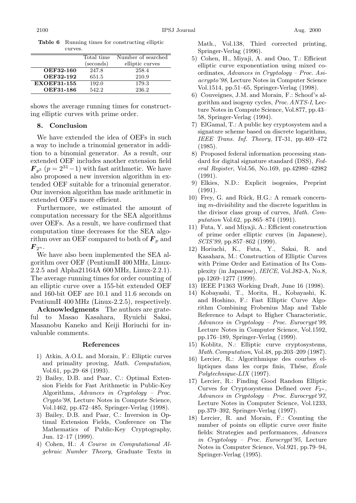|                                 | Total time     | Number of searched |
|---------------------------------|----------------|--------------------|
|                                 | (seconds)      | elliptic curves    |
| OEF32-160                       | 247.8          | 258.4              |
| OEF32-192<br><b>EXOEF31-155</b> | 651.5<br>192.0 | 210.9<br>179.3     |
| OEF31-186                       | 542.2          | 236.2              |
|                                 |                |                    |

**Table 6** Running times for constructing elliptic curves.

shows the average running times for constructing elliptic curves with prime order.

#### **8. Conclusion**

We have extended the idea of OEFs in such a way to include a trinomial generator in addition to a binomial generator. As a result, our extended OEF includes another extension field  $\mathbf{F}_{p^5}$  ( $p = 2^{31} - 1$ ) with fast arithmetic. We have also proposed a new inversion algorithm in extended OEF suitable for a trinomial generator. Our inversion algorithm has made arithmetic in extended OEFs more efficient.

Furthermore, we estimated the amount of computation necessary for the SEA algorithms over OEFs. As a result, we have confirmed that computation time decreases for the SEA algorithm over an OEF compared to both of  $\mathbf{F}_p$  and  $\bm{F}_{2^n}.$ 

We have also been implemented the SEA algorithm over OEF (PentiumII 400 MHz, Linux-2.2.5 and Alpha21164A 600 MHz, Linux-2.2.1). The average running times for order counting of an elliptic curve over a 155-bit extended OEF and 160-bit OEF are 10.1 and 11.6 seconds on PentiumII 400 MHz (Linux-2.2.5), respectively.

**Acknowledgments** The authors are grateful to Masao Kasahara, Ryuichi Sakai, Masanobu Kaneko and Keiji Horiuchi for invaluable comments.

#### **References**

- 1) Atkin, A.O.L. and Morain, F.: Elliptic curves and primality proving, *Math. Computation*, Vol.61, pp.29–68 (1993).
- 2) Bailey, D.B. and Paar, C.: Optimal Extension Fields for Fast Arithmetic in Public-Key Algorithms, *Advances in Cryptology – Proc. Crypto'98*, Lecture Notes in Compute Science, Vol.1462, pp.472–485, Springer-Verlag (1998).
- 3) Bailey, D.B. and Paar, C.: Inversion in Optimal Extension Fields, Conference on The Mathematics of Public-Key Cryptography, Jun. 12–17 (1999).
- 4) Cohen, H.: *A Course in Computational Algebraic Number Theory*, Graduate Texts in

Math., Vol.138, Third corrected printing, Springer-Verlag (1996).

- 5) Cohen, H., Miyaji, A. and Ono, T.: Efficient elliptic curve exponentiation using mixed coordinates, *Advances in Cryptology – Proc. Asiacrypto'98*, Lecture Notes in Computer Science Vol.1514, pp.51–65, Springer-Verlag (1998).
- 6) Couveignes, J.M. and Morain, F.: Schoof's algorithm and isogeny cycles, *Proc.ANTS-I*, Lecture Notes in Compute Science, Vol.877, pp.43– 58, Springer-Verlag (1994).
- 7) ElGamal, T.: A public key cryptosystem and a signature scheme based on discrete logarithms, *IEEE Trans. Inf. Theory*, IT-31, pp.469–472 (1985).
- 8) Proposed federal information processing standard for digital signaturestandard (DSS), *Federal Register*, Vol.56, No.169, pp.42980–42982 (1991).
- 9) Elkies, N.D.: Explicit isogenies, Preprint (1991).
- 10) Frey, G. and Rück, H.G.: A remark concerning *m*-divisibility and the discrete logarithm in the divisor class group of curves, *Math. Computation* Vol.62, pp.865–874 (1991).
- 11) Futa, Y. and Miyaji, A.: Efficient construction of prime order elliptic curves (in Japanese), *SCIS'99*, pp.857–862 (1999).
- 12) Horiuchi, K., Futa, Y., Sakai, R. and Kasahara, M.: Construction of Elliptic Curves with Prime Order and Estimation of Its Complexity (in Japanese), *IEICE*, Vol.J82-A, No.8, pp.1269–1277 (1999).
- 13) IEEE P1363 Working Draft, June16 (1998).
- 14) Kobayashi, T., Morita, H., Kobayashi, K. and Hoshino, F.: Fast Elliptic Curve Algorithm Combining Frobenius Map and Table Reference to Adapt to Higher Characteristic, *Advances in Cryptology – Proc. Eurocrypt'99*, Lecture Notes in Computer Science, Vol.1592, pp.176–189, Springer-Verlag (1999).
- 15) Koblitz, N.: Elliptic curve cryptosystems, *Math.Computation*, Vol.48, pp.203–209 (1987).
- 16) Lercier, R.: Algorithmique des courbes elliptiques dans les corps finis, Thése, Ecole *Polytechnique-LIX* (1997).
- 17) Lercier, R.: Finding Good Random Elliptic Curves for Cryptosystems Defined over  $F_{2^n}$ , *Advances in Cryptology – Proc. Eurocrypt'97*, Lecture Notes in Computer Science, Vol.1233, pp.379–392, Springer-Verlag (1997).
- 18) Lercier, R. and Morain, F.: Counting the number of points on elliptic curve over finite fields: Strategies and performances, *Advances in Cryptology – Proc. Eurocrypt'95*, Lecture Notes in Computer Science, Vol.921, pp.79–94, Springer-Verlag (1995).